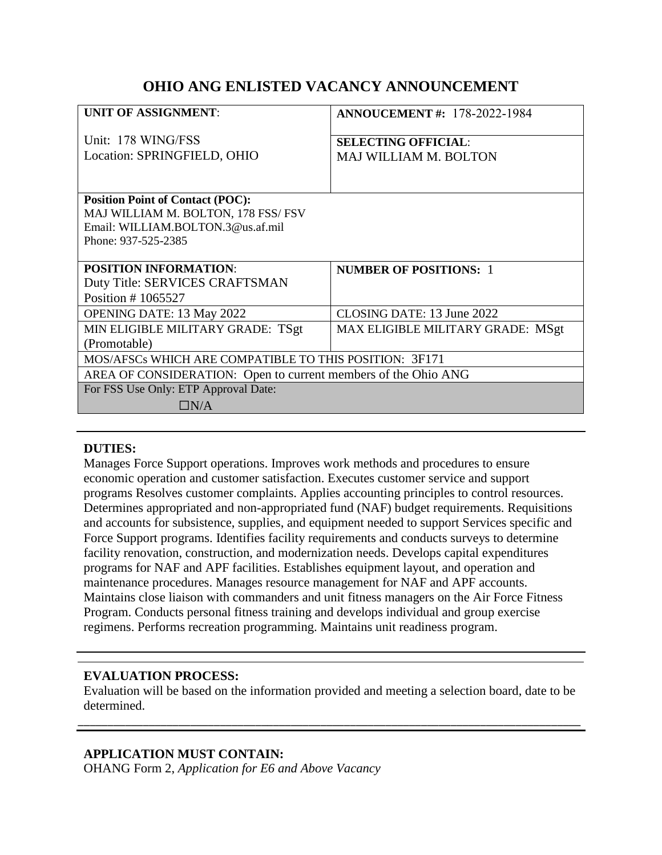# **OHIO ANG ENLISTED VACANCY ANNOUNCEMENT**

| <b>UNIT OF ASSIGNMENT:</b>                                     | <b>ANNOUCEMENT #: 178-2022-1984</b> |
|----------------------------------------------------------------|-------------------------------------|
| Unit: 178 WING/FSS                                             | <b>SELECTING OFFICIAL:</b>          |
| Location: SPRINGFIELD, OHIO                                    | <b>MAJ WILLIAM M. BOLTON</b>        |
|                                                                |                                     |
| <b>Position Point of Contact (POC):</b>                        |                                     |
| MAJ WILLIAM M. BOLTON, 178 FSS/ FSV                            |                                     |
| Email: WILLIAM.BOLTON.3@us.af.mil                              |                                     |
| Phone: 937-525-2385                                            |                                     |
|                                                                |                                     |
| <b>POSITION INFORMATION:</b>                                   | <b>NUMBER OF POSITIONS: 1</b>       |
| Duty Title: SERVICES CRAFTSMAN                                 |                                     |
| Position #1065527                                              |                                     |
| <b>OPENING DATE: 13 May 2022</b>                               | CLOSING DATE: 13 June 2022          |
| MIN ELIGIBLE MILITARY GRADE: TSgt                              | MAX ELIGIBLE MILITARY GRADE: MSgt   |
| (Promotable)                                                   |                                     |
| MOS/AFSCs WHICH ARE COMPATIBLE TO THIS POSITION: 3F171         |                                     |
| AREA OF CONSIDERATION: Open to current members of the Ohio ANG |                                     |
| For FSS Use Only: ETP Approval Date:                           |                                     |
| $\Box N/A$                                                     |                                     |

### **DUTIES:**

Manages Force Support operations. Improves work methods and procedures to ensure economic operation and customer satisfaction. Executes customer service and support programs Resolves customer complaints. Applies accounting principles to control resources. Determines appropriated and non-appropriated fund (NAF) budget requirements. Requisitions and accounts for subsistence, supplies, and equipment needed to support Services specific and Force Support programs. Identifies facility requirements and conducts surveys to determine facility renovation, construction, and modernization needs. Develops capital expenditures programs for NAF and APF facilities. Establishes equipment layout, and operation and maintenance procedures. Manages resource management for NAF and APF accounts. Maintains close liaison with commanders and unit fitness managers on the Air Force Fitness Program. Conducts personal fitness training and develops individual and group exercise regimens. Performs recreation programming. Maintains unit readiness program.

# **EVALUATION PROCESS:**

Evaluation will be based on the information provided and meeting a selection board, date to be determined.

\_\_\_\_\_\_\_\_\_\_\_\_\_\_\_\_\_\_\_\_\_\_\_\_\_\_\_\_\_\_\_\_\_\_\_\_\_\_\_\_\_\_\_\_\_\_\_\_\_\_\_\_\_\_\_\_\_\_\_\_\_\_\_\_\_\_\_\_\_\_\_\_\_\_\_\_\_\_\_\_\_\_\_\_\_

# **APPLICATION MUST CONTAIN:**

OHANG Form 2, *Application for E6 and Above Vacancy*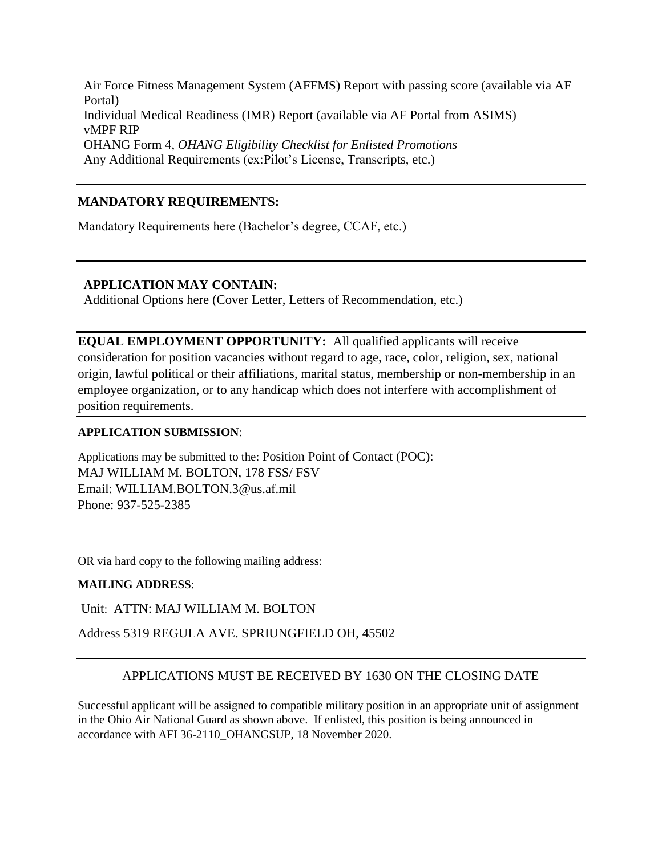Air Force Fitness Management System (AFFMS) Report with passing score (available via AF Portal) Individual Medical Readiness (IMR) Report (available via AF Portal from ASIMS) vMPF RIP OHANG Form 4, *OHANG Eligibility Checklist for Enlisted Promotions* Any Additional Requirements (ex:Pilot's License, Transcripts, etc.)

# **MANDATORY REQUIREMENTS:**

Mandatory Requirements here (Bachelor's degree, CCAF, etc.)

# **APPLICATION MAY CONTAIN:**

Additional Options here (Cover Letter, Letters of Recommendation, etc.)

**EQUAL EMPLOYMENT OPPORTUNITY:** All qualified applicants will receive consideration for position vacancies without regard to age, race, color, religion, sex, national origin, lawful political or their affiliations, marital status, membership or non-membership in an employee organization, or to any handicap which does not interfere with accomplishment of position requirements.

#### **APPLICATION SUBMISSION**:

Applications may be submitted to the: Position Point of Contact (POC): MAJ WILLIAM M. BOLTON, 178 FSS/ FSV Email: WILLIAM.BOLTON.3@us.af.mil Phone: 937-525-2385

OR via hard copy to the following mailing address:

### **MAILING ADDRESS**:

Unit: ATTN: MAJ WILLIAM M. BOLTON

Address 5319 REGULA AVE. SPRIUNGFIELD OH, 45502

# APPLICATIONS MUST BE RECEIVED BY 1630 ON THE CLOSING DATE

Successful applicant will be assigned to compatible military position in an appropriate unit of assignment in the Ohio Air National Guard as shown above. If enlisted, this position is being announced in accordance with AFI 36-2110\_OHANGSUP, 18 November 2020.